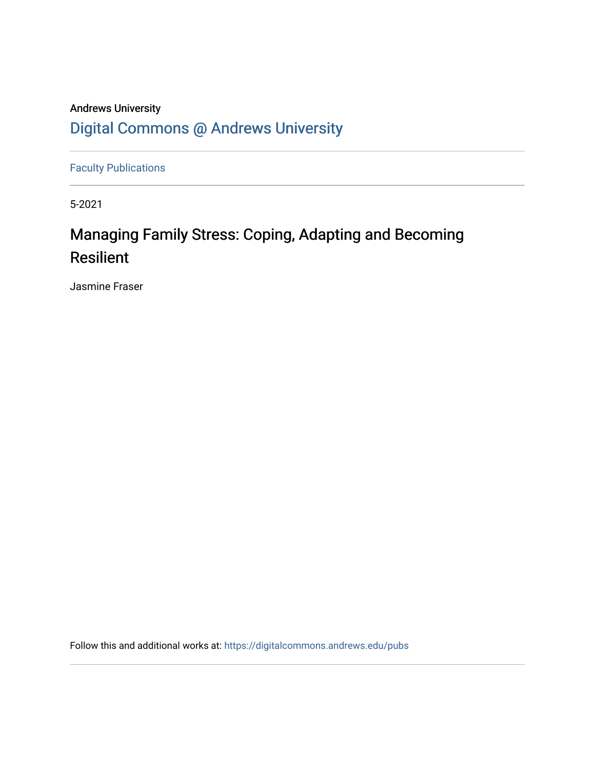## Andrews University [Digital Commons @ Andrews University](https://digitalcommons.andrews.edu/)

[Faculty Publications](https://digitalcommons.andrews.edu/pubs)

5-2021

## Managing Family Stress: Coping, Adapting and Becoming Resilient

Jasmine Fraser

Follow this and additional works at: [https://digitalcommons.andrews.edu/pubs](https://digitalcommons.andrews.edu/pubs?utm_source=digitalcommons.andrews.edu%2Fpubs%2F2857&utm_medium=PDF&utm_campaign=PDFCoverPages)